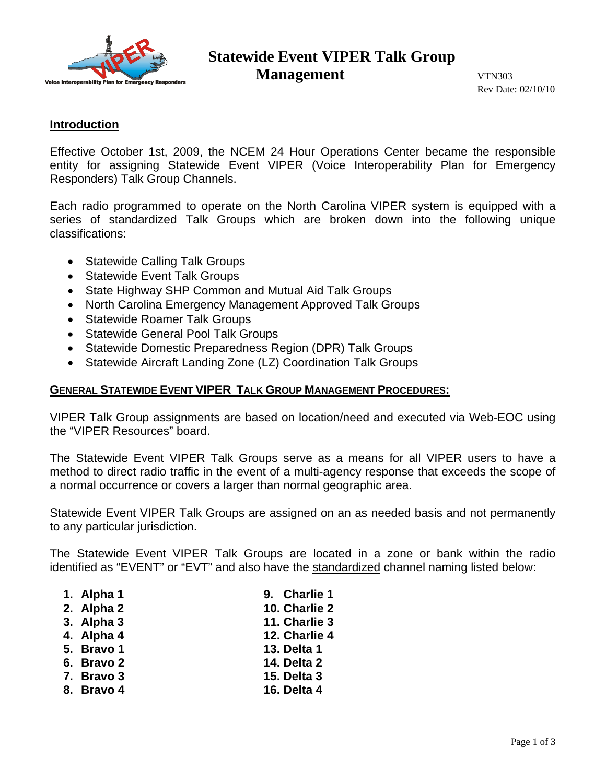

# **Statewide Event VIPER Talk Group Management VTN303**

Rev Date: 02/10/10

### **Introduction**

Effective October 1st, 2009, the NCEM 24 Hour Operations Center became the responsible entity for assigning Statewide Event VIPER (Voice Interoperability Plan for Emergency Responders) Talk Group Channels.

Each radio programmed to operate on the North Carolina VIPER system is equipped with a series of standardized Talk Groups which are broken down into the following unique classifications:

- Statewide Calling Talk Groups
- Statewide Event Talk Groups
- State Highway SHP Common and Mutual Aid Talk Groups
- North Carolina Emergency Management Approved Talk Groups
- Statewide Roamer Talk Groups
- Statewide General Pool Talk Groups
- Statewide Domestic Preparedness Region (DPR) Talk Groups
- Statewide Aircraft Landing Zone (LZ) Coordination Talk Groups

### **GENERAL STATEWIDE EVENT VIPER TALK GROUP MANAGEMENT PROCEDURES:**

VIPER Talk Group assignments are based on location/need and executed via Web-EOC using the "VIPER Resources" board.

The Statewide Event VIPER Talk Groups serve as a means for all VIPER users to have a method to direct radio traffic in the event of a multi-agency response that exceeds the scope of a normal occurrence or covers a larger than normal geographic area.

Statewide Event VIPER Talk Groups are assigned on an as needed basis and not permanently to any particular jurisdiction.

The Statewide Event VIPER Talk Groups are located in a zone or bank within the radio identified as "EVENT" or "EVT" and also have the standardized channel naming listed below:

- **1. Alpha 1 9. Charlie 1**
- **2. Alpha 2 10. Charlie 2**
- **3. Alpha 3 11. Charlie 3**
- **4. Alpha 4 12. Charlie 4**
- **5. Bravo 1 13. Delta 1**
- **6. Bravo 2 14. Delta 2**
- **7. Bravo 3 15. Delta 3**
- 
- **8. Bravo 4 16. Delta 4**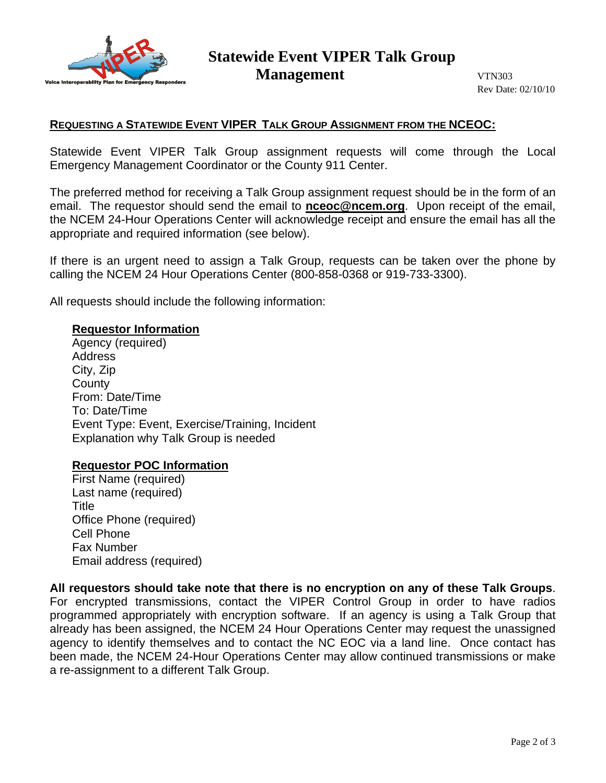

# **Statewide Event VIPER Talk Group Management VTN303**

Rev Date: 02/10/10

## **REQUESTING A STATEWIDE EVENT VIPER TALK GROUP ASSIGNMENT FROM THE NCEOC:**

Statewide Event VIPER Talk Group assignment requests will come through the Local Emergency Management Coordinator or the County 911 Center.

The preferred method for receiving a Talk Group assignment request should be in the form of an email. The requestor should send the email to **nceoc@ncem.org**. Upon receipt of the email, the NCEM 24-Hour Operations Center will acknowledge receipt and ensure the email has all the appropriate and required information (see below).

If there is an urgent need to assign a Talk Group, requests can be taken over the phone by calling the NCEM 24 Hour Operations Center (800-858-0368 or 919-733-3300).

All requests should include the following information:

#### **Requestor Information**

Agency (required) Address City, Zip **County** From: Date/Time To: Date/Time Event Type: Event, Exercise/Training, Incident Explanation why Talk Group is needed

#### **Requestor POC Information**

First Name (required) Last name (required) Title Office Phone (required) Cell Phone Fax Number Email address (required)

**All requestors should take note that there is no encryption on any of these Talk Groups**. For encrypted transmissions, contact the VIPER Control Group in order to have radios programmed appropriately with encryption software. If an agency is using a Talk Group that already has been assigned, the NCEM 24 Hour Operations Center may request the unassigned agency to identify themselves and to contact the NC EOC via a land line. Once contact has been made, the NCEM 24-Hour Operations Center may allow continued transmissions or make a re-assignment to a different Talk Group.